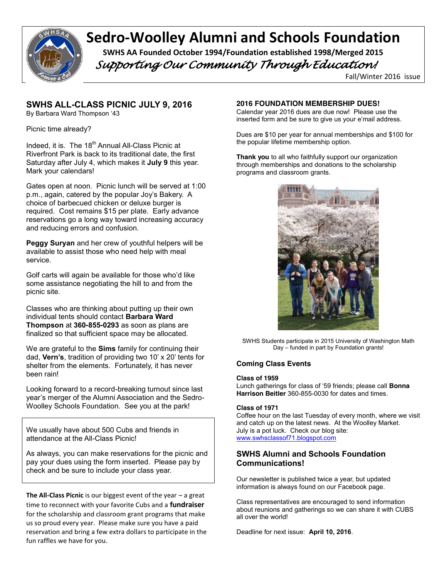

# **Sedro-Woolley Alumni and Schools Foundation** SWHS AA Founded October 1994/Foundation established 1998/Merged 2015

 *Supporting Our Community Through Education!* 

Fall/Winter 2016 issue

# **SWHS ALL-CLASS PICNIC JULY 9, 2016**

By Barbara Ward Thompson '43

Picnic time already?

Indeed, it is. The  $18<sup>th</sup>$  Annual All-Class Picnic at Riverfront Park is back to its traditional date, the first Saturday after July 4, which makes it **July 9** this year. Mark your calendars!

Gates open at noon. Picnic lunch will be served at 1:00 p.m., again, catered by the popular Joy's Bakery. A choice of barbecued chicken or deluxe burger is required. Cost remains \$15 per plate. Early advance reservations go a long way toward increasing accuracy and reducing errors and confusion.

**Peggy Suryan** and her crew of youthful helpers will be available to assist those who need help with meal service.

Golf carts will again be available for those who'd like some assistance negotiating the hill to and from the picnic site.

Classes who are thinking about putting up their own individual tents should contact **Barbara Ward Thompson** at **360-855-0293** as soon as plans are finalized so that sufficient space may be allocated.

We are grateful to the **Sims** family for continuing their dad, **Vern's**, tradition of providing two 10' x 20' tents for shelter from the elements. Fortunately, it has never been rain!

Looking forward to a record-breaking turnout since last year's merger of the Alumni Association and the Sedro-Woolley Schools Foundation. See you at the park!

We usually have about 500 Cubs and friends in attendance at the All-Class Picnic!

As always, you can make reservations for the picnic and pay your dues using the form inserted. Please pay by check and be sure to include your class year.

**The All-Class Picnic** is our biggest event of the year – a great time to reconnect with your favorite Cubs and a **fundraiser** for the scholarship and classroom grant programs that make us so proud every year. Please make sure you have a paid reservation and bring a few extra dollars to participate in the fun raffles we have for you.

## **2016 FOUNDATION MEMBERSHIP DUES!**

Calendar year 2016 dues are due now! Please use the inserted form and be sure to give us your e'mail address.

Dues are \$10 per year for annual memberships and \$100 for the popular lifetime membership option.

**Thank you** to all who faithfully support our organization through memberships and donations to the scholarship programs and classroom grants.



SWHS Students participate in 2015 University of Washington Math Day – funded in part by Foundation grants!

# **Coming Class Events**

#### **Class of 1959**

Lunch gatherings for class of '59 friends; please call **Bonna Harrison Beitler** 360-855-0030 for dates and times.

### **Class of 1971**

Coffee hour on the last Tuesday of every month, where we visit and catch up on the latest news. At the Woolley Market. July is a pot luck. Check our blog site: www.swhsclassof71.blogspot.com

# **SWHS Alumni and Schools Foundation Communications!**

Our newsletter is published twice a year, but updated information is always found on our Facebook page.

Class representatives are encouraged to send information about reunions and gatherings so we can share it with CUBS all over the world!

Deadline for next issue: **April 10, 2016**.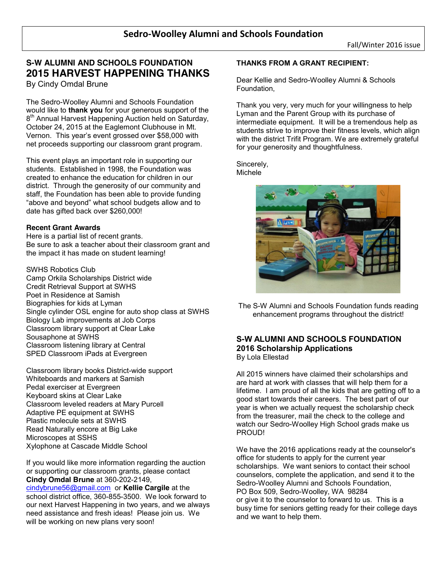# **S-W ALUMNI AND SCHOOLS FOUNDATION 2015 HARVEST HAPPENING THANKS** By Cindy Omdal Brune

The Sedro-Woolley Alumni and Schools Foundation would like to **thank you** for your generous support of the 8<sup>th</sup> Annual Harvest Happening Auction held on Saturday, October 24, 2015 at the Eaglemont Clubhouse in Mt. Vernon. This year's event grossed over \$58,000 with net proceeds supporting our classroom grant program.

This event plays an important role in supporting our students. Established in 1998, the Foundation was created to enhance the education for children in our district. Through the generosity of our community and staff, the Foundation has been able to provide funding "above and beyond" what school budgets allow and to date has gifted back over \$260,000!

# **Recent Grant Awards**

Here is a partial list of recent grants. Be sure to ask a teacher about their classroom grant and the impact it has made on student learning!

SWHS Robotics Club Camp Orkila Scholarships District wide Credit Retrieval Support at SWHS Poet in Residence at Samish Biographies for kids at Lyman Single cylinder OSL engine for auto shop class at SWHS Biology Lab improvements at Job Corps Classroom library support at Clear Lake Sousaphone at SWHS Classroom listening library at Central SPED Classroom iPads at Evergreen

Classroom library books District-wide support Whiteboards and markers at Samish Pedal exerciser at Evergreen Keyboard skins at Clear Lake Classroom leveled readers at Mary Purcell Adaptive PE equipment at SWHS Plastic molecule sets at SWHS Read Naturally encore at Big Lake Microscopes at SSHS Xylophone at Cascade Middle School

If you would like more information regarding the auction or supporting our classroom grants, please contact **Cindy Omdal Brune** at 360-202-2149, cindybrune56@gmail.com or **Kellie Cargile** at the school district office, 360-855-3500. We look forward to our next Harvest Happening in two years, and we always need assistance and fresh ideas! Please join us. We will be working on new plans very soon!

# **THANKS FROM A GRANT RECIPIENT:**

Dear Kellie and Sedro-Woolley Alumni & Schools Foundation,

Thank you very, very much for your willingness to help Lyman and the Parent Group with its purchase of intermediate equipment. It will be a tremendous help as students strive to improve their fitness levels, which align with the district Trifit Program. We are extremely grateful for your generosity and thoughtfulness.

Sincerely, Michele



The S-W Alumni and Schools Foundation funds reading enhancement programs throughout the district!

## **S-W ALUMNI AND SCHOOLS FOUNDATION 2016 Scholarship Applications**  By Lola Ellestad

All 2015 winners have claimed their scholarships and are hard at work with classes that will help them for a lifetime. I am proud of all the kids that are getting off to a good start towards their careers. The best part of our year is when we actually request the scholarship check from the treasurer, mail the check to the college and watch our Sedro-Woolley High School grads make us PROUD!

We have the 2016 applications ready at the counselor's office for students to apply for the current year scholarships. We want seniors to contact their school counselors, complete the application, and send it to the Sedro-Woolley Alumni and Schools Foundation, PO Box 509, Sedro-Woolley, WA 98284 or give it to the counselor to forward to us. This is a busy time for seniors getting ready for their college days and we want to help them.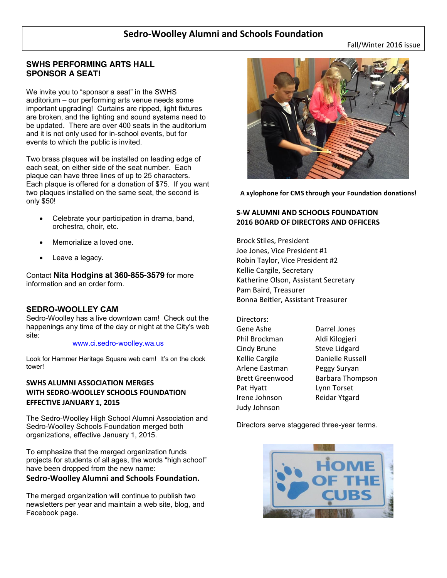# **Sedro-Woolley Alumni and Schools Foundation**

Fall/Winter 2016 issue

# **SWHS PERFORMING ARTS HALL SPONSOR A SEAT!**

We invite you to "sponsor a seat" in the SWHS auditorium – our performing arts venue needs some important upgrading! Curtains are ripped, light fixtures are broken, and the lighting and sound systems need to be updated. There are over 400 seats in the auditorium and it is not only used for in-school events, but for events to which the public is invited.

Two brass plaques will be installed on leading edge of each seat, on either side of the seat number. Each plaque can have three lines of up to 25 characters. Each plaque is offered for a donation of \$75. If you want two plaques installed on the same seat, the second is only \$50!

- Celebrate your participation in drama, band, orchestra, choir, etc.
- Memorialize a loved one.
- Leave a legacy.

Contact **Nita Hodgins at 360-855-3579** for more information and an order form.

# **SEDRO-WOOLLEY CAM**

Sedro-Woolley has a live downtown cam! Check out the happenings any time of the day or night at the City's web site:

#### www.ci.sedro-woolley.wa.us

Look for Hammer Heritage Square web cam! It's on the clock tower!

# **SWHS ALUMNI ASSOCIATION MERGES WITH SEDRO-WOOLLEY SCHOOLS FOUNDATION EFFECTIVE JANUARY 1, 2015**

The Sedro-Woolley High School Alumni Association and Sedro-Woolley Schools Foundation merged both organizations, effective January 1, 2015.

To emphasize that the merged organization funds projects for students of all ages, the words "high school" have been dropped from the new name:

# **Sedro-Woolley Alumni and Schools Foundation.**

The merged organization will continue to publish two newsletters per year and maintain a web site, blog, and Facebook page.



**A xylophone for CMS through your Foundation donations!**

# **S-W ALUMNI AND SCHOOLS FOUNDATION 2016 BOARD OF DIRECTORS AND OFFICERS**

Brock Stiles, President Joe Jones, Vice President #1 Robin Taylor, Vice President #2 Kellie Cargile, Secretary Katherine Olson, Assistant Secretary Pam Baird, Treasurer Bonna Beitler, Assistant Treasurer

| Directors:             |                      |
|------------------------|----------------------|
| Gene Ashe              | Darrel Jones         |
| Phil Brockman          | Aldi Kilogjeri       |
| Cindy Brune            | <b>Steve Lidgard</b> |
| Kellie Cargile         | Danielle Russell     |
| Arlene Eastman         | Peggy Suryan         |
| <b>Brett Greenwood</b> | Barbara Thompson     |
| Pat Hyatt              | Lynn Torset          |
| Irene Johnson          | Reidar Ytgard        |
| Judy Johnson           |                      |

Directors serve staggered three-year terms.